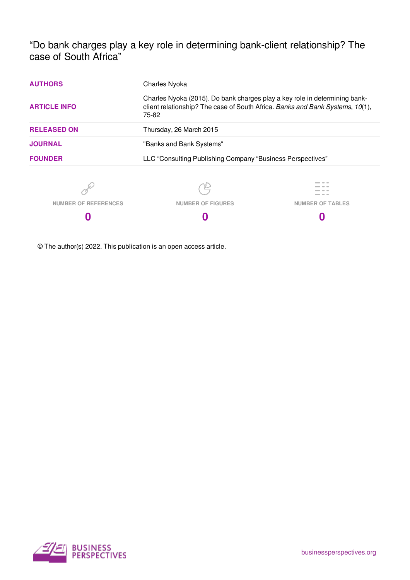"Do bank charges play a key role in determining bank-client relationship? The case of South Africa"

| <b>AUTHORS</b>              | Charles Nyoka                                                                                                                                                        |                         |
|-----------------------------|----------------------------------------------------------------------------------------------------------------------------------------------------------------------|-------------------------|
| <b>ARTICLE INFO</b>         | Charles Nyoka (2015). Do bank charges play a key role in determining bank-<br>client relationship? The case of South Africa. Banks and Bank Systems, 10(1),<br>75-82 |                         |
| <b>RELEASED ON</b>          | Thursday, 26 March 2015                                                                                                                                              |                         |
| <b>JOURNAL</b>              | "Banks and Bank Systems"                                                                                                                                             |                         |
| <b>FOUNDER</b>              | LLC "Consulting Publishing Company "Business Perspectives"                                                                                                           |                         |
|                             |                                                                                                                                                                      |                         |
| <b>NUMBER OF REFERENCES</b> | <b>NUMBER OF FIGURES</b>                                                                                                                                             | <b>NUMBER OF TABLES</b> |
|                             |                                                                                                                                                                      |                         |
|                             |                                                                                                                                                                      |                         |

© The author(s) 2022. This publication is an open access article.

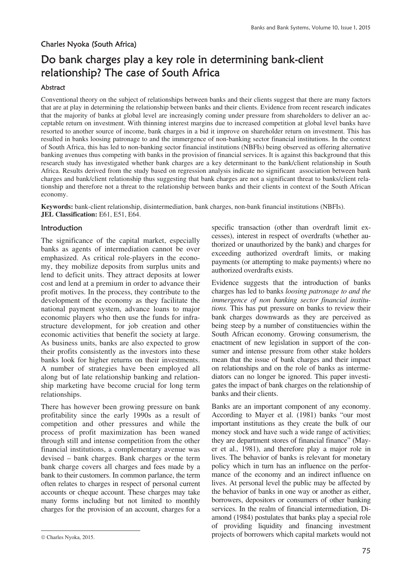## Charles Nyoka (South Africa)

# Do bank charges play a key role in determining bank-client relationship? The case of South Africa

#### Abstract

Conventional theory on the subject of relationships between banks and their clients suggest that there are many factors that are at play in determining the relationship between banks and their clients. Evidence from recent research indicates that the majority of banks at global level are increasingly coming under pressure from shareholders to deliver an acceptable return on investment. With thinning interest margins due to increased competition at global level banks have resorted to another source of income, bank charges in a bid it improve on shareholder return on investment. This has resulted in banks loosing patronage to and the immergence of non-banking sector financial institutions. In the context of South Africa, this has led to non-banking sector financial institutions (NBFIs) being observed as offering alternative banking avenues thus competing with banks in the provision of financial services. It is against this background that this research study has investigated whether bank charges are a key determinant to the bank/client relationship in South Africa. Results derived from the study based on regression analysis indicate no significant association between bank charges and bank/client relationship thus suggesting that bank charges are not a significant threat to banks/client relationship and therefore not a threat to the relationship between banks and their clients in context of the South African economy.

**Keywords:** bank-client relationship, disintermediation, bank charges, non-bank financial institutions (NBFIs). **JEL Classification:** E61, E51, E64.

### **Introduction**

The significance of the capital market, especially banks as agents of intermediation cannot be over emphasized. As critical role-players in the economy, they mobilize deposits from surplus units and lend to deficit units. They attract deposits at lower cost and lend at a premium in order to advance their profit motives. In the process, they contribute to the development of the economy as they facilitate the national payment system, advance loans to major economic players who then use the funds for infrastructure development, for job creation and other economic activities that benefit the society at large. As business units, banks are also expected to grow their profits consistently as the investors into these banks look for higher returns on their investments. A number of strategies have been employed all along but of late relationship banking and relationship marketing have become crucial for long term relationships.

There has however been growing pressure on bank profitability since the early 1990s as a result of competition and other pressures and while the process of profit maximization has been waned through still and intense competition from the other financial institutions, a complementary avenue was devised – bank charges. Bank charges or the term bank charge covers all charges and fees made by a bank to their customers. In common parlance, the term often relates to charges in respect of personal current accounts or cheque account. These charges may take many forms including but not limited to monthly charges for the provision of an account, charges for a specific transaction (other than overdraft limit excesses), interest in respect of overdrafts (whether authorized or unauthorized by the bank) and charges for exceeding authorized overdraft limits, or making payments (or attempting to make payments) where no authorized overdrafts exists.

Evidence suggests that the introduction of banks charges has led to banks *loosing patronage to and the immergence of non banking sector financial institutions.* This has put pressure on banks to review their bank charges downwards as they are perceived as being steep by a number of constituencies within the South African economy. Growing consumerism, the enactment of new legislation in support of the consumer and intense pressure from other stake holders mean that the issue of bank charges and their impact on relationships and on the role of banks as intermediators can no longer be ignored. This paper investigates the impact of bank charges on the relationship of banks and their clients.

Banks are an important component of any economy. According to Mayer et al. (1981) banks "our most important institutions as they create the bulk of our money stock and have such a wide range of activities; they are department stores of financial finance" (Mayer et al., 1981), and therefore play a major role in lives. The behavior of banks is relevant for monetary policy which in turn has an influence on the performance of the economy and an indirect influence on lives. At personal level the public may be affected by the behavior of banks in one way or another as either, borrowers, depositors or consumers of other banking services. In the realm of financial intermediation, Diamond (1984) postulates that banks play a special role of providing liquidity and financing investment projects of borrowers which capital markets would not

 $\overline{a}$  $© Charles Nyoka, 2015.$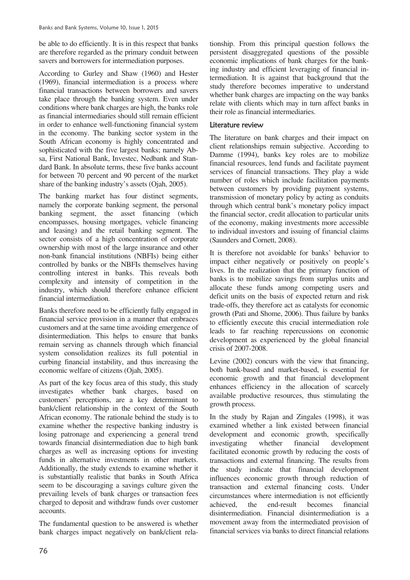be able to do efficiently. It is in this respect that banks are therefore regarded as the primary conduit between savers and borrowers for intermediation purposes.

According to Gurley and Shaw (1960) and Hester (1969), financial intermediation is a process where financial transactions between borrowers and savers take place through the banking system. Even under conditions where bank charges are high, the banks role as financial intermediaries should still remain efficient in order to enhance well-functioning financial system in the economy. The banking sector system in the South African economy is highly concentrated and sophisticated with the five largest banks; namely Absa, First National Bank, Investec, Nedbank and Standard Bank. In absolute terms, these five banks account for between 70 percent and 90 percent of the market share of the banking industry's assets (Ojah, 2005).

The banking market has four distinct segments, namely the corporate banking segment, the personal banking segment, the asset financing (which encompasses, housing mortgages, vehicle financing and leasing) and the retail banking segment. The sector consists of a high concentration of corporate ownership with most of the large insurance and other non-bank financial institutions (NBFIs) being either controlled by banks or the NBFIs themselves having controlling interest in banks. This reveals both complexity and intensity of competition in the industry, which should therefore enhance efficient financial intermediation.

Banks therefore need to be efficiently fully engaged in financial service provision in a manner that embraces customers and at the same time avoiding emergence of disintermediation. This helps to ensure that banks remain serving as channels through which financial system consolidation realizes its full potential in curbing financial instability, and thus increasing the economic welfare of citizens (Ojah, 2005).

As part of the key focus area of this study, this study investigates whether bank charges, based on customers' perceptions, are a key determinant to bank/client relationship in the context of the South African economy. The rationale behind the study is to examine whether the respective banking industry is losing patronage and experiencing a general trend towards financial disintermediation due to high bank charges as well as increasing options for investing funds in alternative investments in other markets. Additionally, the study extends to examine whether it is substantially realistic that banks in South Africa seem to be discouraging a savings culture given the prevailing levels of bank charges or transaction fees charged to deposit and withdraw funds over customer accounts.

The fundamental question to be answered is whether bank charges impact negatively on bank/client relationship. From this principal question follows the persistent disaggregated questions of the possible economic implications of bank charges for the banking industry and efficient leveraging of financial intermediation. It is against that background that the study therefore becomes imperative to understand whether bank charges are impacting on the way banks relate with clients which may in turn affect banks in their role as financial intermediaries.

## Literature review

The literature on bank charges and their impact on client relationships remain subjective. According to Damme (1994), banks key roles are to mobilize financial resources, lend funds and facilitate payment services of financial transactions. They play a wide number of roles which include facilitation payments between customers by providing payment systems, transmission of monetary policy by acting as conduits through which central bank's monetary policy impact the financial sector, credit allocation to particular units of the economy, making investments more accessible to individual investors and issuing of financial claims (Saunders and Cornett, 2008).

It is therefore not avoidable for banks' behavior to impact either negatively or positively on people's lives. In the realization that the primary function of banks is to mobilize savings from surplus units and allocate these funds among competing users and deficit units on the basis of expected return and risk trade-offs, they therefore act as catalysts for economic growth (Pati and Shome, 2006). Thus failure by banks to efficiently execute this crucial intermediation role leads to far reaching repercussions on economic development as experienced by the global financial crisis of 2007-2008.

Levine (2002) concurs with the view that financing, both bank-based and market-based, is essential for economic growth and that financial development enhances efficiency in the allocation of scarcely available productive resources, thus stimulating the growth process.

In the study by Rajan and Zingales (1998), it was examined whether a link existed between financial development and economic growth, specifically investigating whether financial development facilitated economic growth by reducing the costs of transactions and external financing. The results from the study indicate that financial development influences economic growth through reduction of transaction and external financing costs. Under circumstances where intermediation is not efficiently achieved, the end-result becomes financial disintermediation. Financial disintermediation is a movement away from the intermediated provision of financial services via banks to direct financial relations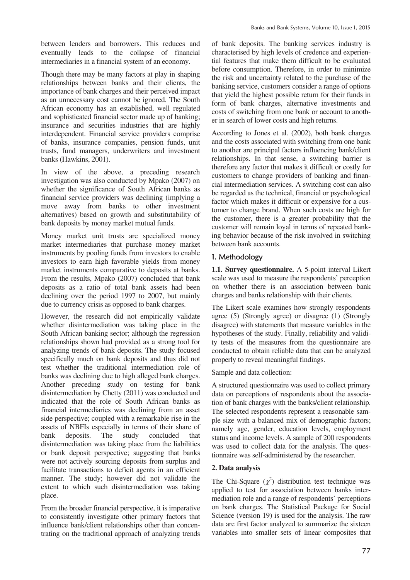between lenders and borrowers. This reduces and eventually leads to the collapse of financial intermediaries in a financial system of an economy.

Though there may be many factors at play in shaping relationships between banks and their clients, the importance of bank charges and their perceived impact as an unnecessary cost cannot be ignored. The South African economy has an established, well regulated and sophisticated financial sector made up of banking; insurance and securities industries that are highly interdependent. Financial service providers comprise of banks, insurance companies, pension funds, unit trusts, fund managers, underwriters and investment banks (Hawkins, 2001).

In view of the above, a preceding research investigation was also conducted by Mpako (2007) on whether the significance of South African banks as financial service providers was declining (implying a move away from banks to other investment alternatives) based on growth and substitutability of bank deposits by money market mutual funds.

Money market unit trusts are specialized money market intermediaries that purchase money market instruments by pooling funds from investors to enable investors to earn high favorable yields from money market instruments comparative to deposits at banks. From the results, Mpako (2007) concluded that bank deposits as a ratio of total bank assets had been declining over the period 1997 to 2007, but mainly due to currency crisis as opposed to bank charges.

However, the research did not empirically validate whether disintermediation was taking place in the South African banking sector; although the regression relationships shown had provided as a strong tool for analyzing trends of bank deposits. The study focused specifically much on bank deposits and thus did not test whether the traditional intermediation role of banks was declining due to high alleged bank charges. Another preceding study on testing for bank disintermediation by Chetty (2011) was conducted and indicated that the role of South African banks as financial intermediaries was declining from an asset side perspective; coupled with a remarkable rise in the assets of NBFIs especially in terms of their share of bank deposits. The study concluded that disintermediation was taking place from the liabilities or bank deposit perspective; suggesting that banks were not actively sourcing deposits from surplus and facilitate transactions to deficit agents in an efficient manner. The study; however did not validate the extent to which such disintermediation was taking place.

From the broader financial perspective, it is imperative to consistently investigate other primary factors that influence bank/client relationships other than concentrating on the traditional approach of analyzing trends of bank deposits. The banking services industry is characterised by high levels of credence and experiential features that make them difficult to be evaluated before consumption. Therefore, in order to minimize the risk and uncertainty related to the purchase of the banking service, customers consider a range of options that yield the highest possible return for their funds in form of bank charges, alternative investments and costs of switching from one bank or account to another in search of lower costs and high returns.

According to Jones et al. (2002), both bank charges and the costs associated with switching from one bank to another are principal factors influencing bank/client relationships. In that sense, a switching barrier is therefore any factor that makes it difficult or costly for customers to change providers of banking and financial intermediation services. A switching cost can also be regarded as the technical, financial or psychological factor which makes it difficult or expensive for a customer to change brand. When such costs are high for the customer, there is a greater probability that the customer will remain loyal in terms of repeated banking behavior because of the risk involved in switching between bank accounts.

## 1. Methodology

**1.1. Survey questionnaire.** A 5-point interval Likert scale was used to measure the respondents' perception on whether there is an association between bank charges and banks relationship with their clients.

The Likert scale examines how strongly respondents agree (5) (Strongly agree) or disagree (1) (Strongly disagree) with statements that measure variables in the hypotheses of the study. Finally, reliability and validity tests of the measures from the questionnaire are conducted to obtain reliable data that can be analyzed properly to reveal meaningful findings.

Sample and data collection:

A structured questionnaire was used to collect primary data on perceptions of respondents about the association of bank charges with the banks/client relationship. The selected respondents represent a reasonable sample size with a balanced mix of demographic factors; namely age, gender, education levels, employment status and income levels. A sample of 200 respondents was used to collect data for the analysis. The questionnaire was self-administered by the researcher.

## **2. Data analysis**

The Chi-Square  $(\chi^2)$  distribution test technique was applied to test for association between banks intermediation role and a range of respondents' perceptions on bank charges. The Statistical Package for Social Science (version 19) is used for the analysis. The raw data are first factor analyzed to summarize the sixteen variables into smaller sets of linear composites that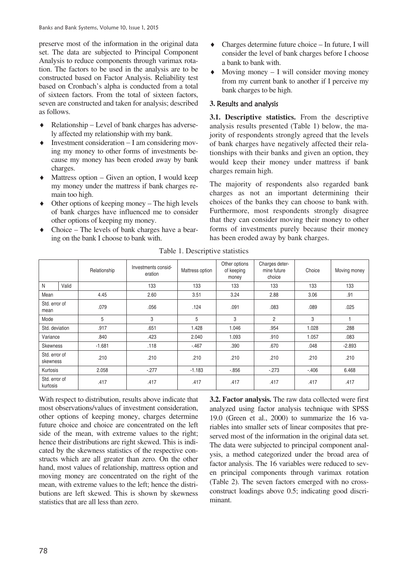preserve most of the information in the original data set. The data are subjected to Principal Component Analysis to reduce components through varimax rotation. The factors to be used in the analysis are to be constructed based on Factor Analysis. Reliability test based on Cronbach's alpha is conducted from a total of sixteen factors. From the total of sixteen factors, seven are constructed and taken for analysis; described as follows.

- $\triangleleft$  Relationship Level of bank charges has adversely affected my relationship with my bank.
- $\bullet$  Investment consideration  $-I$  am considering moving my money to other forms of investments because my money has been eroded away by bank charges.
- $\triangleleft$  Mattress option Given an option, I would keep my money under the mattress if bank charges remain too high.
- $\bullet$  Other options of keeping money The high levels of bank charges have influenced me to consider other options of keeping my money.
- Choice The levels of bank charges have a bearing on the bank I choose to bank with.
- Charges determine future choice In future, I will consider the level of bank charges before I choose a bank to bank with.
- Moving money  $I$  will consider moving money from my current bank to another if I perceive my bank charges to be high.

#### **3.** Results and analysis

**3.1. Descriptive statistics.** From the descriptive analysis results presented (Table 1) below, the majority of respondents strongly agreed that the levels of bank charges have negatively affected their relationships with their banks and given an option, they would keep their money under mattress if bank charges remain high.

The majority of respondents also regarded bank charges as not an important determining their choices of the banks they can choose to bank with. Furthermore, most respondents strongly disagree that they can consider moving their money to other forms of investments purely because their money has been eroded away by bank charges.

|                           |       | Relationship | Investments consid-<br>eration | Mattress option | Other options<br>of keeping<br>money | Charges deter-<br>mine future<br>choice | Choice | Moving money |
|---------------------------|-------|--------------|--------------------------------|-----------------|--------------------------------------|-----------------------------------------|--------|--------------|
| N                         | Valid |              | 133                            | 133             | 133                                  | 133                                     | 133    | 133          |
| Mean                      |       | 4.45         | 2.60                           | 3.51            | 3.24                                 | 2.88                                    | 3.06   | .91          |
| Std. error of<br>mean     |       | .079         | .056                           | .124            | .091                                 | .083                                    | .089   | .025         |
| Mode                      |       | 5            | 3                              | 5               | 3                                    | 2                                       | 3      |              |
| Std. deviation            |       | .917         | .651                           | 1.428           | 1.046                                | .954                                    | 1.028  | .288         |
| Variance                  |       | .840         | .423                           | 2.040           | 1.093                                | .910                                    | 1.057  | .083         |
| Skewness                  |       | $-1.681$     | .118                           | $-.467$         | .390                                 | .670                                    | .048   | $-2.893$     |
| Std. error of<br>skewness |       | .210         | .210                           | .210            | .210                                 | .210                                    | .210   | .210         |
| Kurtosis                  |       | 2.058        | $-277$                         | $-1.183$        | $-0.856$                             | $-273$                                  | $-406$ | 6.468        |
| Std. error of<br>kurtosis |       | .417         | .417                           | .417            | .417                                 | .417                                    | .417   | .417         |

Table 1. Descriptive statistics

With respect to distribution, results above indicate that most observations/values of investment consideration, other options of keeping money, charges determine future choice and choice are concentrated on the left side of the mean, with extreme values to the right; hence their distributions are right skewed. This is indicated by the skewness statistics of the respective constructs which are all greater than zero. On the other hand, most values of relationship, mattress option and moving money are concentrated on the right of the mean, with extreme values to the left; hence the distributions are left skewed. This is shown by skewness statistics that are all less than zero.

**3.2. Factor analysis.** The raw data collected were first analyzed using factor analysis technique with SPSS 19.0 (Green et al., 2000) to summarize the 16 variables into smaller sets of linear composites that preserved most of the information in the original data set. The data were subjected to principal component analysis, a method categorized under the broad area of factor analysis. The 16 variables were reduced to seven principal components through varimax rotation (Table 2). The seven factors emerged with no crossconstruct loadings above 0.5; indicating good discriminant.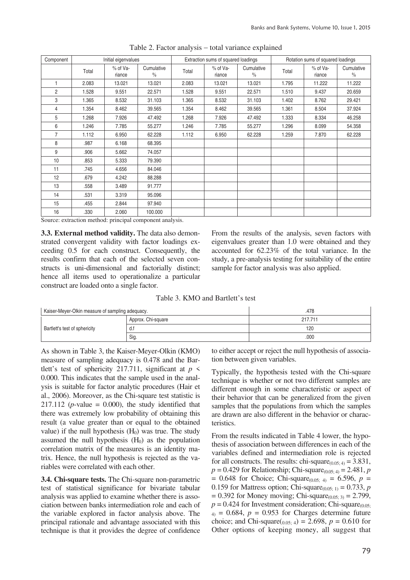| Component      | Initial eigenvalues |                      |                             | Extraction sums of squared loadings |                    |                             | Rotation sums of squared loadings |                      |                             |
|----------------|---------------------|----------------------|-----------------------------|-------------------------------------|--------------------|-----------------------------|-----------------------------------|----------------------|-----------------------------|
|                | Total               | $%$ of Va-<br>riance | Cumulative<br>$\frac{0}{0}$ | Total                               | % of Va-<br>riance | Cumulative<br>$\frac{0}{0}$ | Total                             | $%$ of Va-<br>riance | Cumulative<br>$\frac{0}{0}$ |
| 1              | 2.083               | 13.021               | 13.021                      | 2.083                               | 13.021             | 13.021                      | 1.795                             | 11.222               | 11.222                      |
| $\overline{2}$ | 1.528               | 9.551                | 22.571                      | 1.528                               | 9.551              | 22.571                      | 1.510                             | 9.437                | 20.659                      |
| 3              | 1.365               | 8.532                | 31.103                      | 1.365                               | 8.532              | 31.103                      | 1.402                             | 8.762                | 29.421                      |
| 4              | 1.354               | 8.462                | 39.565                      | 1.354                               | 8.462              | 39.565                      | 1.361                             | 8.504                | 37.924                      |
| 5              | 1.268               | 7.926                | 47.492                      | 1.268                               | 7.926              | 47.492                      | 1.333                             | 8.334                | 46.258                      |
| 6              | 1.246               | 7.785                | 55.277                      | 1.246                               | 7.785              | 55.277                      | 1.296                             | 8.099                | 54.358                      |
| $\overline{7}$ | 1.112               | 6.950                | 62.228                      | 1.112                               | 6.950              | 62.228                      | 1.259                             | 7.870                | 62.228                      |
| 8              | .987                | 6.168                | 68.395                      |                                     |                    |                             |                                   |                      |                             |
| 9              | .906                | 5.662                | 74.057                      |                                     |                    |                             |                                   |                      |                             |
| 10             | .853                | 5.333                | 79.390                      |                                     |                    |                             |                                   |                      |                             |
| 11             | .745                | 4.656                | 84.046                      |                                     |                    |                             |                                   |                      |                             |
| 12             | .679                | 4.242                | 88.288                      |                                     |                    |                             |                                   |                      |                             |
| 13             | .558                | 3.489                | 91.777                      |                                     |                    |                             |                                   |                      |                             |
| 14             | .531                | 3.319                | 95.096                      |                                     |                    |                             |                                   |                      |                             |
| 15             | .455                | 2.844                | 97.940                      |                                     |                    |                             |                                   |                      |                             |
| 16             | .330                | 2.060                | 100.000                     |                                     |                    |                             |                                   |                      |                             |

Table 2. Factor analysis – total variance explained

Source: extraction method: principal component analysis.

**3.3. External method validity.** The data also demonstrated convergent validity with factor loadings exceeding 0.5 for each construct. Consequently, the results confirm that each of the selected seven constructs is uni-dimensional and factorially distinct; hence all items used to operationalize a particular construct are loaded onto a single factor.

From the results of the analysis, seven factors with eigenvalues greater than 1.0 were obtained and they accounted for 62.23% of the total variance. In the study, a pre-analysis testing for suitability of the entire sample for factor analysis was also applied.

|  | Table 3. KMO and Bartlett's test |
|--|----------------------------------|
|--|----------------------------------|

| Kaiser-Meyer-Olkin measure of sampling adequacy. |                    | .478    |
|--------------------------------------------------|--------------------|---------|
|                                                  | Approx. Chi-square | 217.711 |
| Bartlett's test of sphericity                    | d.1                | 120     |
|                                                  | Sig                | .000    |

As shown in Table 3, the Kaiser-Meyer-Olkin (KMO) measure of sampling adequacy is 0.478 and the Bartlett's test of sphericity 217.711, significant at  $p \leq$ 0.000. This indicates that the sample used in the analysis is suitable for factor analytic procedures (Hair et al., 2006). Moreover, as the Chi-square test statistic is 217.112 ( $p$ -value = 0.000), the study identified that there was extremely low probability of obtaining this result (a value greater than or equal to the obtained value) if the null hypothesis  $(H<sub>0</sub>)$  was true. The study assumed the null hypothesis  $(H<sub>0</sub>)$  as the population correlation matrix of the measures is an identity matrix. Hence, the null hypothesis is rejected as the variables were correlated with each other.

**3.4. Chi-square tests.** The Chi-square non-parametric test of statistical significance for bivariate tabular analysis was applied to examine whether there is association between banks intermediation role and each of the variable explored in factor analysis above. The principal rationale and advantage associated with this technique is that it provides the degree of confidence to either accept or reject the null hypothesis of association between given variables.

Typically, the hypothesis tested with the Chi-square technique is whether or not two different samples are different enough in some characteristic or aspect of their behavior that can be generalized from the given samples that the populations from which the samples are drawn are also different in the behavior or characteristics.

From the results indicated in Table 4 lower, the hypothesis of association between differences in each of the variables defined and intermediation role is rejected for all constructs. The results: chi-square $_{(0.05:4)} = 3.831$ ,  $p = 0.429$  for Relationship; Chi-square<sub>(0.05; 4)</sub> = 2.481, *p*  $= 0.648$  for Choice; Chi-square<sub>(0.05; 4)</sub>  $= 6.596, p =$ 0.159 for Mattress option; Chi-square<sub>(0.05; 1)</sub> = 0.733, *p*  $= 0.392$  for Money moving; Chi-square<sub>(0.05; 3)</sub>  $= 2.799$ ,  $p = 0.424$  for Investment consideration; Chi-square<sub>(0.05</sub>)  $_4$ ) = 0.684,  $p = 0.953$  for Charges determine future choice; and Chi-square( $_{0.05; 4}$ ) = 2.698, *p* = 0.610 for Other options of keeping money, all suggest that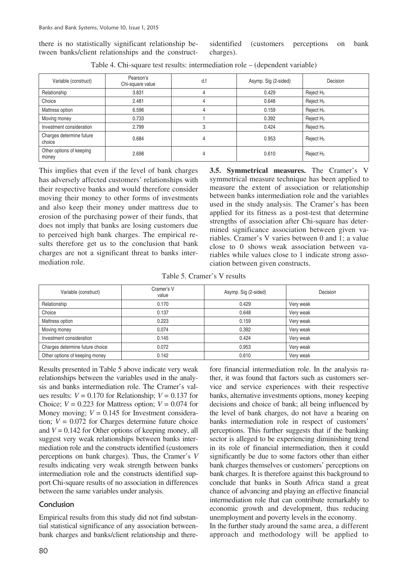there is no statistically significant relationship between banks/client relationships and the constructsidentified (customers perceptions on bank charges).

| Variable (construct)               | Pearson's<br>Chi-square value | d.f | Asymp. Sig (2-sided) | Decision              |
|------------------------------------|-------------------------------|-----|----------------------|-----------------------|
| Relationship                       | 3.831                         | 4   | 0.429                | Reject $H_0$          |
| Choice                             | 2.481                         |     | 0.648                | Reject H <sub>0</sub> |
| Mattress option                    | 6.596                         | 4   | 0.159                | Reject H <sub>0</sub> |
| Moving money                       | 0.733                         |     | 0.392                | Reject $H_0$          |
| Investment consideration           | 2.799                         |     | 0.424                | Reject H <sub>0</sub> |
| Charges determine future<br>choice | 0.684                         | 4   | 0.953                | Reject H <sub>0</sub> |
| Other options of keeping<br>money  | 2.698                         | 4   | 0.610                | Reject H <sub>0</sub> |

Table 4. Chi-square test results: intermediation role – (dependent variable)

This implies that even if the level of bank charges has adversely affected customers' relationships with their respective banks and would therefore consider moving their money to other forms of investments and also keep their money under mattress due to erosion of the purchasing power of their funds, that does not imply that banks are losing customers due to perceived high bank charges. The empirical results therefore get us to the conclusion that bank charges are not a significant threat to banks intermediation role.

**3.5. Symmetrical measures.** The Cramer's V symmetrical measure technique has been applied to measure the extent of association or relationship between banks intermediation role and the variables used in the study analysis. The Cramer's has been applied for its fitness as a post-test that determine strengths of association after Chi-square has determined significance association between given variables. Cramer's V varies between 0 and 1; a value close to 0 shows weak association between variables while values close to 1 indicate strong association between given constructs.

Table 5. Cramer's V results

| Variable (construct)            | Cramer's V<br>value | Asymp. Sig (2-sided) | Decision  |
|---------------------------------|---------------------|----------------------|-----------|
| Relationship                    | 0.170               | 0.429                | Very weak |
| Choice                          | 0.137               | 0.648                | Very weak |
| Mattress option                 | 0.223               | 0.159                | Very weak |
| Moving money                    | 0.074               | 0.392                | Very weak |
| Investment consideration        | 0.145               | 0.424                | Very weak |
| Charges determine future choice | 0.072               | 0.953                | Very weak |
| Other options of keeping money  | 0.142               | 0.610                | Very weak |

Results presented in Table 5 above indicate very weak relationships between the variables used in the analysis and banks intermediation role. The Cramer's values results:  $V = 0.170$  for Relationship;  $V = 0.137$  for Choice;  $V = 0.223$  for Mattress option;  $V = 0.074$  for Money moving;  $V = 0.145$  for Investment consideration;  $V = 0.072$  for Charges determine future choice and  $V = 0.142$  for Other options of keeping money, all suggest very weak relationships between banks intermediation role and the constructs identified (customers perceptions on bank charges). Thus, the Cramer's *V* results indicating very weak strength between banks intermediation role and the constructs identified support Chi-square results of no association in differences between the same variables under analysis.

#### Conclusion

Empirical results from this study did not find substantial statistical significance of any association betweenbank charges and banks/client relationship and therefore financial intermediation role. In the analysis rather, it was found that factors such as customers service and service experiences with their respective banks, alternative investments options, money keeping decisions and choice of bank; all being influenced by the level of bank charges, do not have a bearing on banks intermediation role in respect of customers' perceptions. This further suggests that if the banking sector is alleged to be experiencing diminishing trend in its role of financial intermediation, then it could significantly be due to some factors other than either bank charges themselves or customers' perceptions on bank charges. It is therefore against this background to conclude that banks in South Africa stand a great chance of advancing and playing an effective financial intermediation role that can contribute remarkably to economic growth and development, thus reducing unemployment and poverty levels in the economy.

In the further study around the same area, a different approach and methodology will be applied to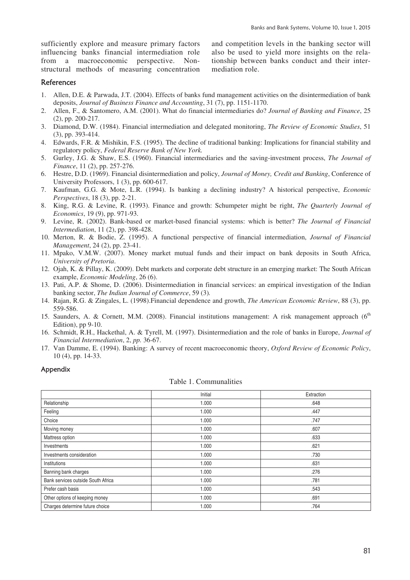sufficiently explore and measure primary factors influencing banks financial intermediation role from a macroeconomic perspective. Nonstructural methods of measuring concentration

and competition levels in the banking sector will also be used to yield more insights on the relationship between banks conduct and their intermediation role.

#### References

- 1. Allen, D.E. & Parwada, J.T. (2004). Effects of banks fund management activities on the disintermediation of bank deposits, *Journal of Business Finance and Accounting*, 31 (7), pp. 1151-1170.
- 2. Allen, F., & Santomero, A.M. (2001). What do financial intermediaries do? *Journal of Banking and Finance*, 25 (2), pp. 200-217.
- 3. Diamond, D.W. (1984). Financial intermediation and delegated monitoring, *The Review of Economic Studies*, 51 (3), pp. 393-414.
- 4. Edwards, F.R. & Mishikin, F.S. (1995). The decline of traditional banking: Implications for financial stability and regulatory policy, *Federal Reserve Bank of New York.*
- 5. Gurley, J.G. & Shaw, E.S. (1960). Financial intermediaries and the saving-investment process, *The Journal of Finance*, 11 (2), pp. 257-276.
- 6. Hestre, D.D. (1969). Financial disintermediation and policy, *Journal of Money, Credit and Banking*, Conference of University Professors, 1 (3), pp. 600-617.
- 7. Kaufman, G.G. & Mote, L.R. (1994). Is banking a declining industry? A historical perspective, *Economic Perspectives*, 18 (3), pp. 2-21.
- 8. King, R.G. & Levine, R. (1993). Finance and growth: Schumpeter might be right, *The Quarterly Journal of Economics*, 19 (9), pp. 971-93.
- 9. Levine, R. (2002). Bank-based or market-based financial systems: which is better? *The Journal of Financial Intermediation*, 11 (2), pp. 398-428.
- 10. Merton, R. & Bodie, Z. (1995). A functional perspective of financial intermediation, *Journal of Financial Management*, 24 (2), pp. 23-41.
- 11. Mpako, V.M.W. (2007). Money market mutual funds and their impact on bank deposits in South Africa, *University of Pretoria*.
- 12. Ojah, K. & Pillay, K. (2009). Debt markets and corporate debt structure in an emerging market: The South African example, *Economic Modeling*, 26 (6).
- 13. Pati, A.P. & Shome, D. (2006). Disintermediation in financial services: an empirical investigation of the Indian banking sector, *The Indian Journal of Commerce*, 59 (3)*.*
- 14. Rajan, R.G. & Zingales, L. (1998).Financial dependence and growth, *The American Economic Review*, 88 (3), pp. 559-586.
- 15. Saunders, A. & Cornett, M.M. (2008). Financial institutions management: A risk management approach (6<sup>th</sup>) Edition), pp 9-10.
- 16. Schmidt, R.H., Hackethal, A. & Tyrell, M. (1997). Disintermediation and the role of banks in Europe, *Journal of Financial Intermediation*, 2, *pp.* 36-67.
- 17. Van Damme, E. (1994). Banking: A survey of recent macroeconomic theory, *Oxford Review of Economic Policy*, 10 (4), pp. 14-33.

#### Appendix

| Table 1. Communalities |
|------------------------|
|                        |
|                        |
|                        |

|                                    | Initial | Extraction |
|------------------------------------|---------|------------|
| Relationship                       | 1.000   | .648       |
| Feeling                            | 1.000   | .447       |
| Choice                             | 1.000   | .747       |
| Moving money                       | 1.000   | .607       |
| Mattress option                    | 1.000   | .633       |
| Investments                        | 1.000   | .621       |
| Investments consideration          | 1.000   | .730       |
| Institutions                       | 1.000   | .631       |
| Banning bank charges               | 1.000   | .276       |
| Bank services outside South Africa | 1.000   | .781       |
| Prefer cash basis                  | 1.000   | .543       |
| Other options of keeping money     | 1.000   | .691       |
| Charges determine future choice    | 1.000   | .764       |